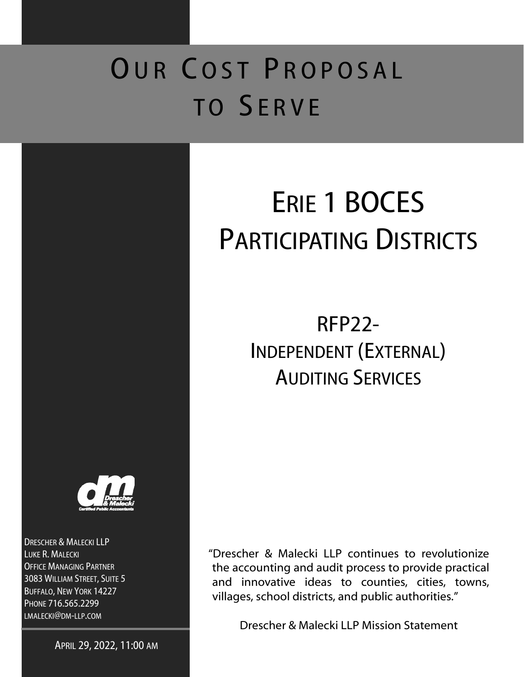## OUR COST PROPOSAL TO SERVE



DRESCHER & MALECKI LLP LUKE R. MALECKI OFFICE MANAGING PARTNER 3083 WILLIAM STREET, SUITE 5 BUFFALO, NEW YORK 14227 PHONE 716.565.2299 LMALECKI@DM-LLP.COM

APRIL 29, 2022, 11:00 AM

# ERIE 1 BOCES PARTICIPATING DISTRICTS

## RFP22- INDEPENDENT (EXTERNAL) AUDITING SERVICES

"Drescher & Malecki LLP continues to revolutionize the accounting and audit process to provide practical and innovative ideas to counties, cities, towns, villages, school districts, and public authorities."

Drescher & Malecki LLP Mission Statement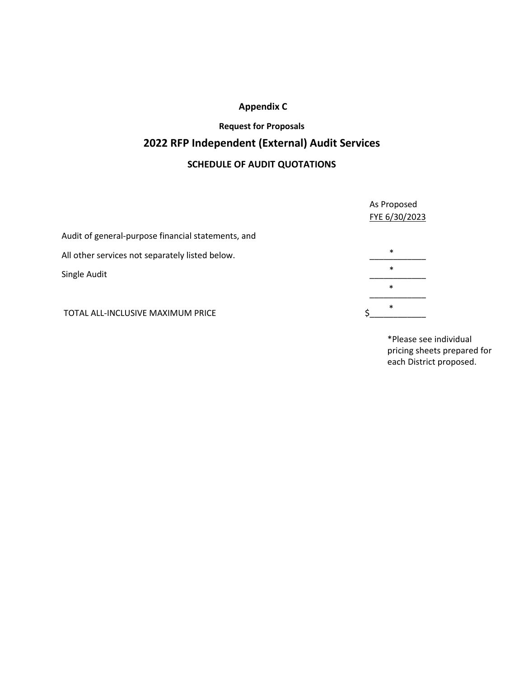### **Appendix C**

### **Request for Proposals 2022 RFP Independent (External) Audit Services SCHEDULE OF AUDIT QUOTATIONS**

|                                                    | As Proposed<br>FYE 6/30/2023 |
|----------------------------------------------------|------------------------------|
| Audit of general-purpose financial statements, and |                              |
| All other services not separately listed below.    | $\ast$                       |
| Single Audit                                       | $\ast$                       |
|                                                    | $\ast$                       |
| TOTAL ALL-INCLUSIVE MAXIMUM PRICE                  | $\ast$                       |

\*Please see individual pricing sheets prepared for each District proposed.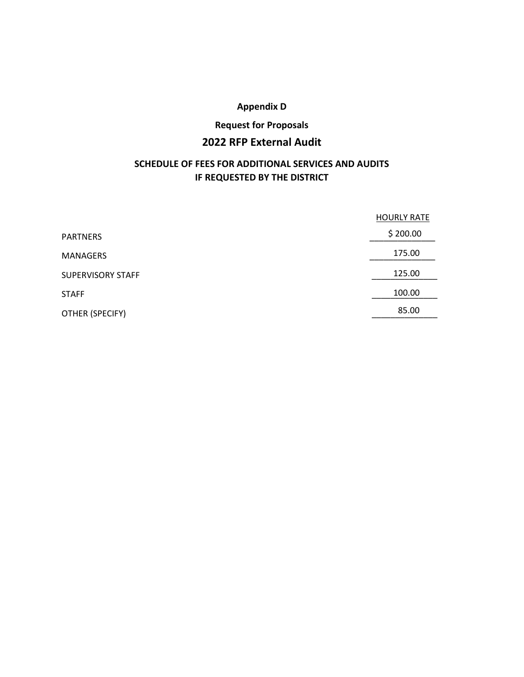### **Appendix D**

### **Request for Proposals**

### **2022 RFP External Audit**

### **SCHEDULE OF FEES FOR ADDITIONAL SERVICES AND AUDITS IF REQUESTED BY THE DISTRICT**

|                          | <b>HOURLY RATE</b> |
|--------------------------|--------------------|
| <b>PARTNERS</b>          | \$200.00           |
| <b>MANAGERS</b>          | 175.00             |
| <b>SUPERVISORY STAFF</b> | 125.00             |
| <b>STAFF</b>             | 100.00             |
| OTHER (SPECIFY)          | 85.00              |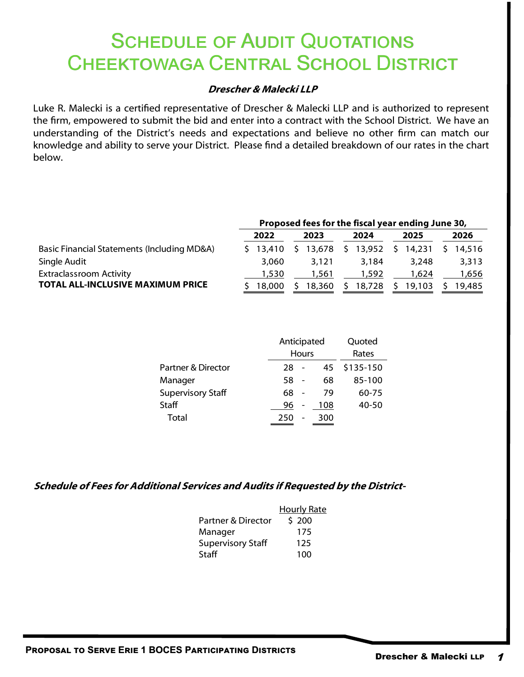### **SCHEDULE OF AUDIT QUOTATIONS CHEEKTOWAGA CENTRAL SCHOOL DISTRICT**

### **Drescher & Malecki LLP**

Luke R. Malecki is a certified representative of Drescher & Malecki LLP and is authorized to represent the firm, empowered to submit the bid and enter into a contract with the School District. We have an understanding of the District's needs and expectations and believe no other firm can match our knowledge and ability to serve your District. Please find a detailed breakdown of our rates in the chart below.

|                                             | Proposed fees for the fiscal year ending June 30, |              |      |        |      |        |      |        |  |        |
|---------------------------------------------|---------------------------------------------------|--------------|------|--------|------|--------|------|--------|--|--------|
|                                             | 2022                                              |              | 2023 |        | 2024 |        | 2025 |        |  | 2026   |
| Basic Financial Statements (Including MD&A) |                                                   | $5 \t13.410$ | S.   | 13,678 | Ŝ.   | 13,952 | S.   | 14,231 |  | 14,516 |
| Single Audit                                |                                                   | 3,060        |      | 3.121  |      | 3.184  |      | 3,248  |  | 3,313  |
| <b>Extraclassroom Activity</b>              |                                                   | 1,530        |      | 1,561  |      | 1,592  |      | 1,624  |  | 1,656  |
| <b>TOTAL ALL-INCLUSIVE MAXIMUM PRICE</b>    |                                                   | 18,000       |      | 18,360 | S    | 18,728 |      | 19,103 |  | 19.485 |

|                          |                       | Anticipated<br>Hours |           |  |  |  |  |
|--------------------------|-----------------------|----------------------|-----------|--|--|--|--|
| Partner & Director       | 28                    | 45                   | \$135-150 |  |  |  |  |
| Manager                  | 58                    | 68                   | 85-100    |  |  |  |  |
| <b>Supervisory Staff</b> | 68                    | 79                   | 60-75     |  |  |  |  |
| Staff                    | 96<br>$\qquad \qquad$ | 108                  | 40-50     |  |  |  |  |
| Total                    | 250                   | 300                  |           |  |  |  |  |

|                          | <b>Hourly Rate</b> |
|--------------------------|--------------------|
| Partner & Director       | \$200              |
| Manager                  | 175                |
| <b>Supervisory Staff</b> | 125                |
| Staff                    | 100                |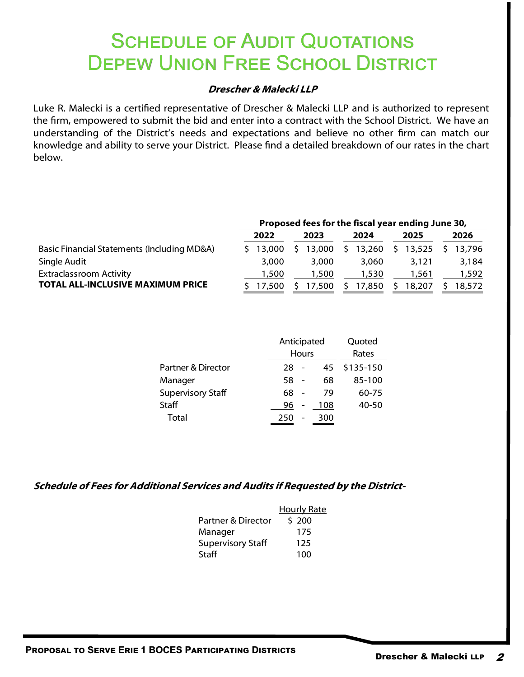### **SCHEDULE OF AUDIT QUOTATIONS DEPEW UNION FREE SCHOOL DISTRICT**

### **Drescher & Malecki LLP**

Luke R. Malecki is a certified representative of Drescher & Malecki LLP and is authorized to represent the firm, empowered to submit the bid and enter into a contract with the School District. We have an understanding of the District's needs and expectations and believe no other firm can match our knowledge and ability to serve your District. Please find a detailed breakdown of our rates in the chart below.

|                                             | Proposed fees for the fiscal year ending June 30, |          |      |        |      |        |      |        |  |        |
|---------------------------------------------|---------------------------------------------------|----------|------|--------|------|--------|------|--------|--|--------|
|                                             | 2022                                              |          | 2023 |        | 2024 |        | 2025 |        |  | 2026   |
| Basic Financial Statements (Including MD&A) |                                                   | \$13,000 |      | 13,000 | S.   | 13,260 |      | 13,525 |  | 13.796 |
| Single Audit                                |                                                   | 3,000    |      | 3,000  |      | 3,060  |      | 3,121  |  | 3,184  |
| <b>Extraclassroom Activity</b>              |                                                   | 1,500    |      | 1,500  |      | 1,530  |      | 1,561  |  | 1,592  |
| <b>TOTAL ALL-INCLUSIVE MAXIMUM PRICE</b>    |                                                   | 17.500   |      | 17.500 |      | 17,850 |      | 18,207 |  | 18,572 |

|                          |     | Anticipated<br>Hours |           |  |  |  |  |
|--------------------------|-----|----------------------|-----------|--|--|--|--|
| Partner & Director       | 28  | 45                   | \$135-150 |  |  |  |  |
| Manager                  | 58  | 68                   | 85-100    |  |  |  |  |
| <b>Supervisory Staff</b> | 68  | 79                   | 60-75     |  |  |  |  |
| Staff                    | 96  | 108                  | 40-50     |  |  |  |  |
| Total                    | 250 | 300                  |           |  |  |  |  |

|                          | <b>Hourly Rate</b> |
|--------------------------|--------------------|
| Partner & Director       | \$200              |
| Manager                  | 175                |
| <b>Supervisory Staff</b> | 125                |
| Staff                    | 100                |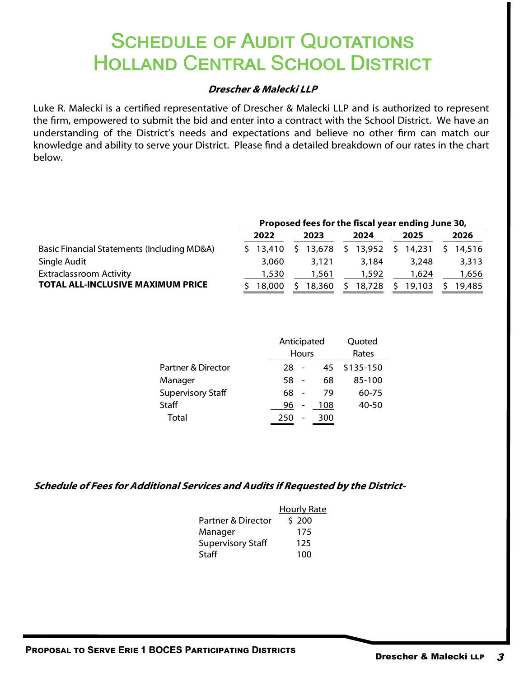### **SCHEDULE OF AUDIT QUOTATIONS** HOLLAND CENTRAL SCHOOL DISTRICT

### **Drescher & Malecki LLP**

Luke R. Malecki is a certified representative of Drescher & Malecki LLP and is authorized to represent the firm, empowered to submit the bid and enter into a contract with the School District. We have an understanding of the District's needs and expectations and believe no other firm can match our knowledge and ability to serve your District. Please find a detailed breakdown of our rates in the chart below.

|                                             | Proposed fees for the fiscal year ending June 30, |              |      |        |      |        |      |        |  |        |
|---------------------------------------------|---------------------------------------------------|--------------|------|--------|------|--------|------|--------|--|--------|
|                                             | 2022                                              |              | 2023 |        | 2024 |        | 2025 |        |  | 2026   |
| Basic Financial Statements (Including MD&A) |                                                   | $5 \t13.410$ |      | 13.678 | S.   | 13,952 | S.   | 14.231 |  | 14,516 |
| Single Audit                                |                                                   | 3,060        |      | 3.121  |      | 3.184  |      | 3.248  |  | 3,313  |
| <b>Extraclassroom Activity</b>              |                                                   | 1,530        |      | 1,561  |      | 1,592  |      | 1,624  |  | 1,656  |
| <b>TOTAL ALL-INCLUSIVE MAXIMUM PRICE</b>    |                                                   | 18,000       |      | 18,360 | S    | 18,728 |      | 19,103 |  | 19.485 |

|                          | Anticipated<br>Hours |                 | Quoted<br>Rates |           |  |  |  |
|--------------------------|----------------------|-----------------|-----------------|-----------|--|--|--|
| Partner & Director       | 28                   |                 | 45              | \$135-150 |  |  |  |
| Manager                  | 58                   |                 | 68              | 85-100    |  |  |  |
| <b>Supervisory Staff</b> | 68                   |                 | 79              | 60-75     |  |  |  |
| Staff                    | 96                   | $\qquad \qquad$ | 108             | 40-50     |  |  |  |
| Total                    | 250                  |                 | 300             |           |  |  |  |

|                          | <b>Hourly Rate</b> |
|--------------------------|--------------------|
| Partner & Director       | \$200              |
| Manager                  | 175                |
| <b>Supervisory Staff</b> | 125                |
| Staff                    | 100                |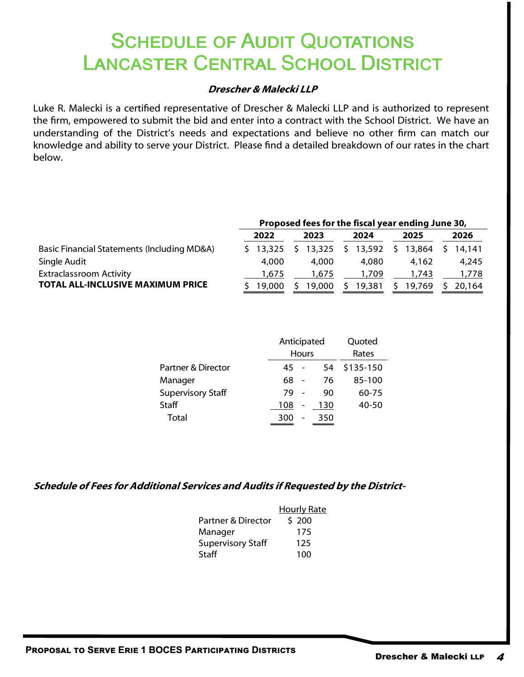### **SCHEDULE OF AUDIT QUOTATIONS** LANCASTER CENTRAL SCHOOL DISTRICT

### **Drescher & Malecki LLP**

Luke R. Malecki is a certified representative of Drescher & Malecki LLP and is authorized to represent the firm, empowered to submit the bid and enter into a contract with the School District. We have an understanding of the District's needs and expectations and believe no other firm can match our knowledge and ability to serve your District. Please find a detailed breakdown of our rates in the chart below.

|                                             | Proposed fees for the fiscal year ending June 30, |                  |      |        |      |        |      |        |  |        |
|---------------------------------------------|---------------------------------------------------|------------------|------|--------|------|--------|------|--------|--|--------|
|                                             | 2022                                              |                  | 2023 |        | 2024 |        | 2025 |        |  | 2026   |
| Basic Financial Statements (Including MD&A) |                                                   | $5 \quad 13.325$ |      | 13,325 | S.   | 13,592 | S.   | 13.864 |  | 14.141 |
| Single Audit                                |                                                   | 4,000            |      | 4.000  |      | 4,080  |      | 4.162  |  | 4,245  |
| <b>Extraclassroom Activity</b>              |                                                   | 1,675            |      | 1,675  |      | 1,709  |      | 1,743  |  | 1,778  |
| <b>TOTAL ALL-INCLUSIVE MAXIMUM PRICE</b>    |                                                   | 19.000           |      | 19.000 | S.   | 19,381 |      | 19,769 |  | 20.164 |

|                          | Anticipated | Hours | Quoted<br>Rates |           |  |
|--------------------------|-------------|-------|-----------------|-----------|--|
| Partner & Director       | 45          |       | 54              | \$135-150 |  |
| Manager                  | 68          |       | 76              | 85-100    |  |
| <b>Supervisory Staff</b> | 79          |       | 90              | 60-75     |  |
| <b>Staff</b>             | 108         |       | 130             | 40-50     |  |
| Total                    | 300         |       | 350             |           |  |

|                          | <b>Hourly Rate</b> |
|--------------------------|--------------------|
| Partner & Director       | \$200              |
| Manager                  | 175                |
| <b>Supervisory Staff</b> | 125                |
| Staff                    | 100                |